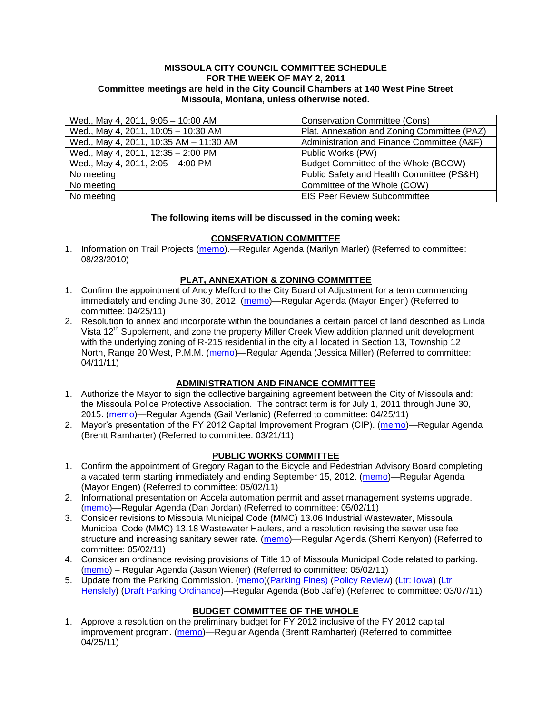#### **MISSOULA CITY COUNCIL COMMITTEE SCHEDULE FOR THE WEEK OF MAY 2, 2011 Committee meetings are held in the City Council Chambers at 140 West Pine Street Missoula, Montana, unless otherwise noted.**

| Wed., May 4, 2011, 9:05 - 10:00 AM     | <b>Conservation Committee (Cons)</b>        |
|----------------------------------------|---------------------------------------------|
| Wed., May 4, 2011, 10:05 - 10:30 AM    | Plat, Annexation and Zoning Committee (PAZ) |
| Wed., May 4, 2011, 10:35 AM - 11:30 AM | Administration and Finance Committee (A&F)  |
| Wed., May 4, 2011, 12:35 - 2:00 PM     | Public Works (PW)                           |
| Wed., May 4, 2011, 2:05 - 4:00 PM      | Budget Committee of the Whole (BCOW)        |
| No meeting                             | Public Safety and Health Committee (PS&H)   |
| No meeting                             | Committee of the Whole (COW)                |
| No meeting                             | <b>EIS Peer Review Subcommittee</b>         |

### **The following items will be discussed in the coming week:**

## **CONSERVATION COMMITTEE**

1. Information on Trail Projects [\(memo\)](http://www.ci.missoula.mt.us/DocumentView.aspx?DID=4477).—Regular Agenda (Marilyn Marler) (Referred to committee: 08/23/2010)

## **PLAT, ANNEXATION & ZONING COMMITTEE**

- 1. Confirm the appointment of Andy Mefford to the City Board of Adjustment for a term commencing immediately and ending June 30, 2012. [\(memo\)](http://www.ci.missoula.mt.us/DocumentView.aspx?DID=6253)—Regular Agenda (Mayor Engen) (Referred to committee: 04/25/11)
- 2. Resolution to annex and incorporate within the boundaries a certain parcel of land described as Linda Vista 12<sup>th</sup> Supplement, and zone the property Miller Creek View addition planned unit development with the underlying zoning of R-215 residential in the city all located in Section 13, Township 12 North, Range 20 West, P.M.M. [\(memo\)](http://www.ci.missoula.mt.us/DocumentView.aspx?DID=5992)—Regular Agenda (Jessica Miller) (Referred to committee: 04/11/11)

# **ADMINISTRATION AND FINANCE COMMITTEE**

- 1. Authorize the Mayor to sign the collective bargaining agreement between the City of Missoula and: the Missoula Police Protective Association. The contract term is for July 1, 2011 through June 30, 2015. [\(memo\)](http://www.ci.missoula.mt.us/DocumentView.aspx?DID=6258)—Regular Agenda (Gail Verlanic) (Referred to committee: 04/25/11)
- 2. Mayor's presentation of the FY 2012 Capital Improvement Program (CIP). [\(memo\)](http://www.ci.missoula.mt.us/DocumentView.aspx?DID=5789)—Regular Agenda (Brentt Ramharter) (Referred to committee: 03/21/11)

### **PUBLIC WORKS COMMITTEE**

- 1. Confirm the appointment of Gregory Ragan to the Bicycle and Pedestrian Advisory Board completing a vacated term starting immediately and ending September 15, 2012. [\(memo\)](http://www.ci.missoula.mt.us/DocumentView.aspx?DID=6309)—Regular Agenda (Mayor Engen) (Referred to committee: 05/02/11)
- 2. Informational presentation on Accela automation permit and asset management systems upgrade. [\(memo\)](http://www.ci.missoula.mt.us/DocumentView.aspx?DID=6321)—Regular Agenda (Dan Jordan) (Referred to committee: 05/02/11)
- 3. Consider revisions to Missoula Municipal Code (MMC) 13.06 Industrial Wastewater, Missoula Municipal Code (MMC) 13.18 Wastewater Haulers, and a resolution revising the sewer use fee structure and increasing sanitary sewer rate. [\(memo\)](http://www.ci.missoula.mt.us/DocumentView.aspx?DID=6322)—Regular Agenda (Sherri Kenyon) (Referred to committee: 05/02/11)
- 4. Consider an ordinance revising provisions of Title 10 of Missoula Municipal Code related to parking. [\(memo\)](http://www.ci.missoula.mt.us/DocumentView.aspx?DID=6329) – Regular Agenda (Jason Wiener) (Referred to committee: 05/02/11)
- 5. Update from the Parking Commission. [\(memo\)](http://www.ci.missoula.mt.us/DocumentView.aspx?DID=5666)[\(Parking Fines\)](http://www.ci.missoula.mt.us/DocumentView.aspx?DID=5802) [\(Policy Review\)](http://www.ci.missoula.mt.us/DocumentView.aspx?DID=5799) [\(Ltr: Iowa\)](http://www.ci.missoula.mt.us/DocumentView.aspx?DID=5803) (Ltr: [Henslely\)](http://www.ci.missoula.mt.us/DocumentView.aspx?DID=5804) [\(Draft Parking Ordinance\)](http://www.ci.missoula.mt.us/DocumentView.aspx?DID=6057)—Regular Agenda (Bob Jaffe) (Referred to committee: 03/07/11)

# **BUDGET COMMITTEE OF THE WHOLE**

1. Approve a resolution on the preliminary budget for FY 2012 inclusive of the FY 2012 capital improvement program. [\(memo\)](http://www.ci.missoula.mt.us/DocumentView.aspx?DID=6255)—Regular Agenda (Brentt Ramharter) (Referred to committee: 04/25/11)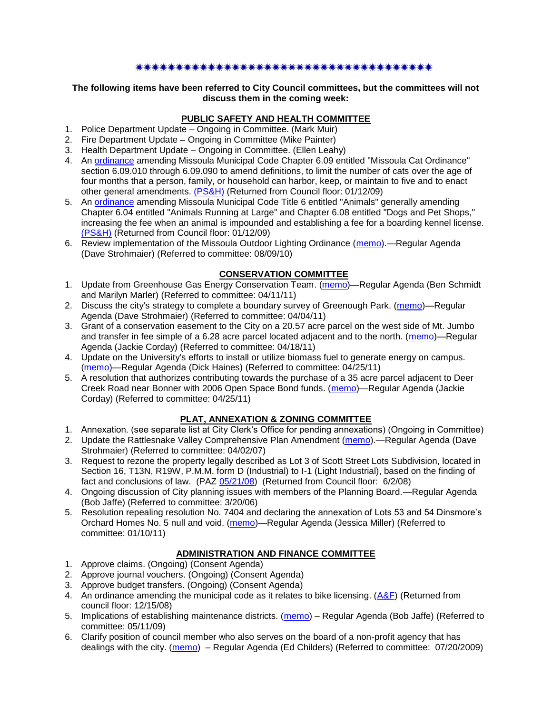#### \*\*\*\*\*\*\*\*\*\*\*\*\*\*\*\*\*\*\*\*\*\*\*\*\*\*\*\*\*\*\*\*\*

#### **The following items have been referred to City Council committees, but the committees will not discuss them in the coming week:**

# **PUBLIC SAFETY AND HEALTH COMMITTEE**

- 1. Police Department Update Ongoing in Committee. (Mark Muir)
- 2. Fire Department Update Ongoing in Committee (Mike Painter)
- 3. Health Department Update Ongoing in Committee. (Ellen Leahy)
- 4. An [ordinance](ftp://ftp.ci.missoula.mt.us/Packets/Council/2008/2008-12-15/2008CatOrdinanceAmendment%5B1%5D.pdf) amending Missoula Municipal Code Chapter 6.09 entitled "Missoula Cat Ordinance" section 6.09.010 through 6.09.090 to amend definitions, to limit the number of cats over the age of four months that a person, family, or household can harbor, keep, or maintain to five and to enact other general amendments. [\(PS&H\)](ftp://ftp.ci.missoula.mt.us/Packets/Council/2008/2008-12-15/081210psh.pdf) (Returned from Council floor: 01/12/09)
- 5. An [ordinance](ftp://ftp.ci.missoula.mt.us/Packets/Council/2008/2008-12-15/DogOrdinance--PSHrevisions.pdf) amending Missoula Municipal Code Title 6 entitled "Animals" generally amending Chapter 6.04 entitled "Animals Running at Large" and Chapter 6.08 entitled "Dogs and Pet Shops," increasing the fee when an animal is impounded and establishing a fee for a boarding kennel license. [\(PS&H\)](ftp://ftp.ci.missoula.mt.us/Packets/Council/2008/2008-12-15/081210psh.pdf) (Returned from Council floor: 01/12/09)
- 6. Review implementation of the Missoula Outdoor Lighting Ordinance [\(memo\)](http://www.ci.missoula.mt.us/DocumentView.aspx?DID=4420).—Regular Agenda (Dave Strohmaier) (Referred to committee: 08/09/10)

# **CONSERVATION COMMITTEE**

- 1. Update from Greenhouse Gas Energy Conservation Team. [\(memo\)](http://www.ci.missoula.mt.us/DocumentView.aspx?DID=5945)—Regular Agenda (Ben Schmidt and Marilyn Marler) (Referred to committee: 04/11/11)
- 2. Discuss the city's strategy to complete a boundary survey of Greenough Park. [\(memo\)](http://www.ci.missoula.mt.us/DocumentView.aspx?DID=5875)—Regular Agenda (Dave Strohmaier) (Referred to committee: 04/04/11)
- 3. Grant of a conservation easement to the City on a 20.57 acre parcel on the west side of Mt. Jumbo and transfer in fee simple of a 6.28 acre parcel located adjacent and to the north. [\(memo\)](http://www.ci.missoula.mt.us/DocumentView.aspx?DID=6170)—Regular Agenda (Jackie Corday) (Referred to committee: 04/18/11)
- 4. Update on the University's efforts to install or utilize biomass fuel to generate energy on campus. [\(memo\)](http://www.ci.missoula.mt.us/DocumentView.aspx?DID=6268)—Regular Agenda (Dick Haines) (Referred to committee: 04/25/11)
- 5. A resolution that authorizes contributing towards the purchase of a 35 acre parcel adjacent to Deer Creek Road near Bonner with 2006 Open Space Bond funds. [\(memo\)](http://www.ci.missoula.mt.us/DocumentView.aspx?DID=6254)—Regular Agenda (Jackie Corday) (Referred to committee: 04/25/11)

### **PLAT, ANNEXATION & ZONING COMMITTEE**

- 1. Annexation. (see separate list at City Clerk's Office for pending annexations) (Ongoing in Committee)
- 2. Update the Rattlesnake Valley Comprehensive Plan Amendment [\(memo\)](ftp://ftp.ci.missoula.mt.us/Packets/Council/2007/2007-04-02/Referrals/Rattlesnake_Plan_Update_referral.pdf).—Regular Agenda (Dave Strohmaier) (Referred to committee: 04/02/07)
- 3. Request to rezone the property legally described as Lot 3 of Scott Street Lots Subdivision, located in Section 16, T13N, R19W, P.M.M. form D (Industrial) to I-1 (Light Industrial), based on the finding of fact and conclusions of law. (PAZ [05/21/08\)](ftp://ftp.ci.missoula.mt.us/Packets/Council/2008/2008-06-02/080521paz.pdf) (Returned from Council floor: 6/2/08)
- 4. Ongoing discussion of City planning issues with members of the Planning Board.—Regular Agenda (Bob Jaffe) (Referred to committee: 3/20/06)
- 5. Resolution repealing resolution No. 7404 and declaring the annexation of Lots 53 and 54 Dinsmore's Orchard Homes No. 5 null and void. [\(memo\)](http://www.ci.missoula.mt.us/DocumentView.aspx?DID=5349)—Regular Agenda (Jessica Miller) (Referred to committee: 01/10/11)

# **ADMINISTRATION AND FINANCE COMMITTEE**

- 1. Approve claims. (Ongoing) (Consent Agenda)
- 2. Approve journal vouchers. (Ongoing) (Consent Agenda)
- 3. Approve budget transfers. (Ongoing) (Consent Agenda)
- 4. An ordinance amending the municipal code as it relates to bike licensing. [\(A&F\)](ftp://ftp.ci.missoula.mt.us/Packets/Council/2008/2008-12-15/081210af.pdf) (Returned from council floor: 12/15/08)
- 5. Implications of establishing maintenance districts. [\(memo\)](ftp://ftp.ci.missoula.mt.us/Packets/Council/2009/2009-05-11/Referrals/MaintenanceDistricts.pdf) Regular Agenda (Bob Jaffe) (Referred to committee: 05/11/09)
- 6. Clarify position of council member who also serves on the board of a non-profit agency that has dealings with the city. [\(memo\)](http://www.ci.missoula.mt.us/DocumentView.aspx?DID=1840) – Regular Agenda (Ed Childers) (Referred to committee: 07/20/2009)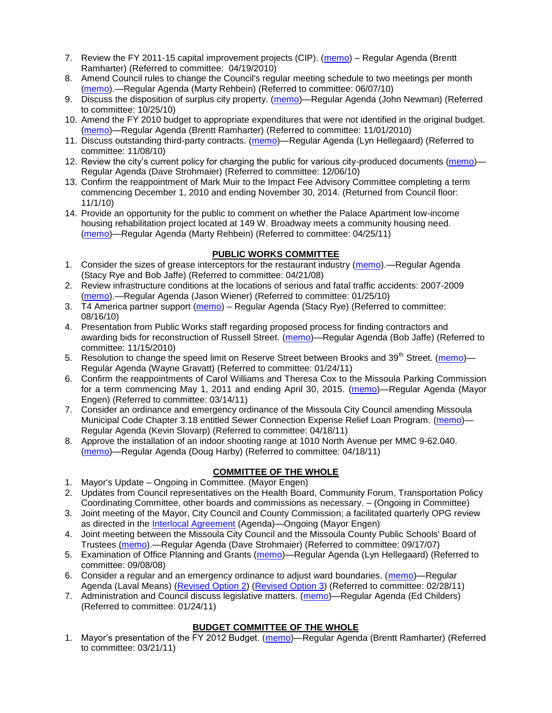- 7. Review the FY 2011-15 capital improvement projects (CIP). [\(memo\)](http://www.ci.missoula.mt.us/DocumentView.aspx?DID=3522) Regular Agenda (Brentt Ramharter) (Referred to committee: 04/19/2010)
- 8. Amend Council rules to change the Council's regular meeting schedule to two meetings per month [\(memo\)](http://www.ci.missoula.mt.us/DocumentView.aspx?DID=4027).—Regular Agenda (Marty Rehbein) (Referred to committee: 06/07/10)
- 9. Discuss the disposition of surplus city property. [\(memo\)](http://www.ci.missoula.mt.us/DocumentView.aspx?DID=4862)—Regular Agenda (John Newman) (Referred to committee: 10/25/10)
- 10. Amend the FY 2010 budget to appropriate expenditures that were not identified in the original budget. [\(memo\)](http://www.ci.missoula.mt.us/DocumentView.aspx?DID=4883)—Regular Agenda (Brentt Ramharter) (Referred to committee: 11/01/2010)
- 11. Discuss outstanding third-party contracts. [\(memo\)](http://www.ci.missoula.mt.us/DocumentView.aspx?DID=4956)—Regular Agenda (Lyn Hellegaard) (Referred to committee: 11/08/10)
- 12. Review the city's current policy for charging the public for various city-produced documents [\(memo\)](http://www.ci.missoula.mt.us/DocumentView.aspx?DID=5143) Regular Agenda (Dave Strohmaier) (Referred to committee: 12/06/10)
- 13. Confirm the reappointment of Mark Muir to the Impact Fee Advisory Committee completing a term commencing December 1, 2010 and ending November 30, 2014. (Returned from Council floor: 11/1/10)
- 14. Provide an opportunity for the public to comment on whether the Palace Apartment low-income housing rehabilitation project located at 149 W. Broadway meets a community housing need. [\(memo\)](http://www.ci.missoula.mt.us/DocumentView.aspx?DID=6257)—Regular Agenda (Marty Rehbein) (Referred to committee: 04/25/11)

## **PUBLIC WORKS COMMITTEE**

- 1. Consider the sizes of grease interceptors for the restaurant industry [\(memo\)](ftp://ftp.ci.missoula.mt.us/Packets/Council/2008/2008-04-21/Referrals/Industrial_waste_restaurants.pdf).—Regular Agenda (Stacy Rye and Bob Jaffe) (Referred to committee: 04/21/08)
- 2. Review infrastructure conditions at the locations of serious and fatal traffic accidents: 2007-2009 [\(memo\)](http://www.ci.missoula.mt.us/DocumentView.aspx?DID=3031).—Regular Agenda (Jason Wiener) (Referred to committee: 01/25/10)
- 3. T4 America partner support [\(memo\)](http://www.ci.missoula.mt.us/DocumentView.aspx?DID=4452) Regular Agenda (Stacy Rye) (Referred to committee: 08/16/10)
- 4. Presentation from Public Works staff regarding proposed process for finding contractors and awarding bids for reconstruction of Russell Street. [\(memo\)](http://www.ci.missoula.mt.us/DocumentView.aspx?DID=5042)—Regular Agenda (Bob Jaffe) (Referred to committee: 11/15/2010)
- 5. Resolution to change the speed limit on Reserve Street between Brooks and 39<sup>th</sup> Street. [\(memo\)](http://www.ci.missoula.mt.us/DocumentView.aspx?DID=5418) Regular Agenda (Wayne Gravatt) (Referred to committee: 01/24/11)
- 6. Confirm the reappointments of Carol Williams and Theresa Cox to the Missoula Parking Commission for a term commencing May 1, 2011 and ending April 30, 2015. [\(memo\)](http://www.ci.missoula.mt.us/DocumentView.aspx?DID=5727)—Regular Agenda (Mayor Engen) (Referred to committee: 03/14/11)
- 7. Consider an ordinance and emergency ordinance of the Missoula City Council amending Missoula Municipal Code Chapter 3.18 entitled Sewer Connection Expense Relief Loan Program. [\(memo\)](http://www.ci.missoula.mt.us/DocumentView.aspx?DID=6161)-Regular Agenda (Kevin Slovarp) (Referred to committee: 04/18/11)
- 8. Approve the installation of an indoor shooting range at 1010 North Avenue per MMC 9-62.040. [\(memo\)](http://www.ci.missoula.mt.us/DocumentView.aspx?DID=6173)—Regular Agenda (Doug Harby) (Referred to committee: 04/18/11)

# **COMMITTEE OF THE WHOLE**

- 1. Mayor's Update Ongoing in Committee. (Mayor Engen)
- 2. Updates from Council representatives on the Health Board, Community Forum, Transportation Policy Coordinating Committee, other boards and commissions as necessary. – (Ongoing in Committee)
- 3. Joint meeting of the Mayor, City Council and County Commission; a facilitated quarterly OPG review as directed in the [Interlocal Agreement](ftp://ftp.ci.missoula.mt.us/Documents/Mayor/OPG/Adopted-ILA-2005.pdf) (Agenda)—Ongoing (Mayor Engen)
- 4. Joint meeting between the Missoula City Council and the Missoula County Public Schools' Board of Trustees [\(memo\)](ftp://ftp.ci.missoula.mt.us/Packets/Council/2007/2007-09-17/Referrals/Council_School_Board_referral.pdf).—Regular Agenda (Dave Strohmaier) (Referred to committee: 09/17/07)
- 5. Examination of Office Planning and Grants [\(memo\)](ftp://ftp.ci.missoula.mt.us/Packets/Council/2008/2008-09-08/Referrals/080825HendricksonOPGreferral.pdf)—Regular Agenda (Lyn Hellegaard) (Referred to committee: 09/08/08)
- 6. Consider a regular and an emergency ordinance to adjust ward boundaries. [\(memo\)](http://www.ci.missoula.mt.us/DocumentView.aspx?DID=5641)—Regular Agenda (Laval Means) [\(Revised Option 2\)](http://www.ci.missoula.mt.us/DocumentView.aspx?DID=5896) [\(Revised Option 3\)](http://www.ci.missoula.mt.us/DocumentView.aspx?DID=5944) (Referred to committee: 02/28/11)
- 7. Administration and Council discuss legislative matters. [\(memo\)](http://www.ci.missoula.mt.us/DocumentView.aspx?DID=5433)—Regular Agenda (Ed Childers) (Referred to committee: 01/24/11)

# **BUDGET COMMITTEE OF THE WHOLE**

1. Mayor's presentation of the FY 2012 Budget. [\(memo\)](http://www.ci.missoula.mt.us/DocumentView.aspx?DID=5788)—Regular Agenda (Brentt Ramharter) (Referred to committee: 03/21/11)